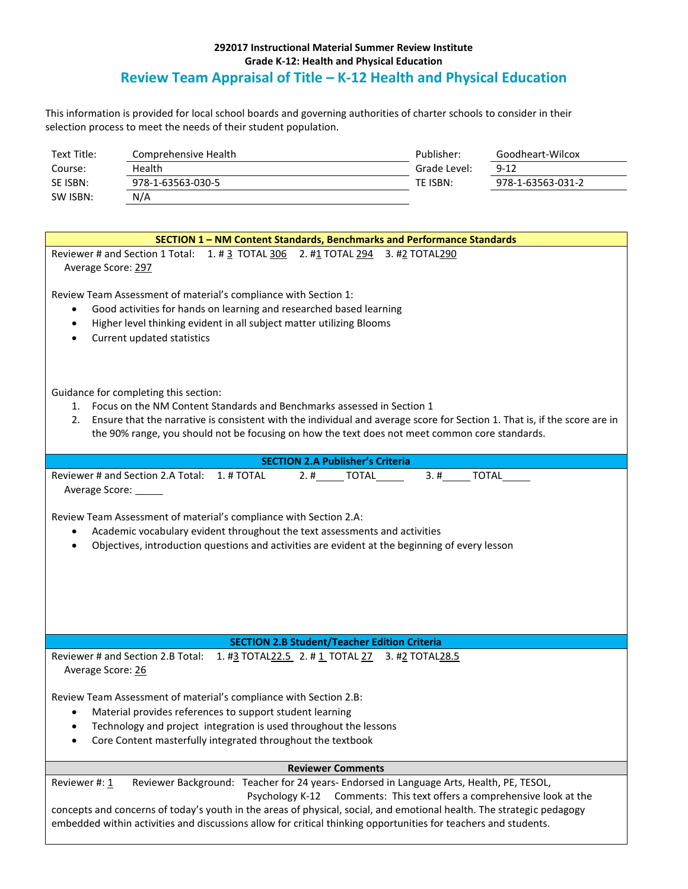## **292017 Instructional Material Summer Review Institute Grade K-12: Health and Physical Education Review Team Appraisal of Title – K-12 Health and Physical Education**

This information is provided for local school boards and governing authorities of charter schools to consider in their selection process to meet the needs of their student population.

| Text Title: | Comprehensive Health | Publisher:   | Goodheart-Wilcox  |
|-------------|----------------------|--------------|-------------------|
| Course:     | Health               | Grade Level: | $9 - 12$          |
| SE ISBN:    | 978-1-63563-030-5    | TE ISBN:     | 978-1-63563-031-2 |
| SW ISBN:    | N/A                  |              |                   |

| SECTION 1 - NM Content Standards, Benchmarks and Performance Standards                                                                                                                                                                                                                                                                                                                                                          |  |  |  |
|---------------------------------------------------------------------------------------------------------------------------------------------------------------------------------------------------------------------------------------------------------------------------------------------------------------------------------------------------------------------------------------------------------------------------------|--|--|--|
| Reviewer # and Section 1 Total: 1. # 3 TOTAL 306 2. #1 TOTAL 294 3. #2 TOTAL 290<br>Average Score: 297                                                                                                                                                                                                                                                                                                                          |  |  |  |
| Review Team Assessment of material's compliance with Section 1:<br>Good activities for hands on learning and researched based learning<br>$\bullet$<br>Higher level thinking evident in all subject matter utilizing Blooms<br>$\bullet$<br>Current updated statistics<br>$\bullet$                                                                                                                                             |  |  |  |
| Guidance for completing this section:<br>1. Focus on the NM Content Standards and Benchmarks assessed in Section 1<br>Ensure that the narrative is consistent with the individual and average score for Section 1. That is, if the score are in<br>2.<br>the 90% range, you should not be focusing on how the text does not meet common core standards.                                                                         |  |  |  |
| <b>SECTION 2.A Publisher's Criteria</b>                                                                                                                                                                                                                                                                                                                                                                                         |  |  |  |
| Reviewer # and Section 2.A Total: 1. # TOTAL<br>$2.$ # ________ TOTAL _______<br>3. #________ TOTAL_______<br>Average Score: ______<br>Review Team Assessment of material's compliance with Section 2.A:<br>Academic vocabulary evident throughout the text assessments and activities<br>Objectives, introduction questions and activities are evident at the beginning of every lesson<br>$\bullet$                           |  |  |  |
| <b>SECTION 2.B Student/Teacher Edition Criteria</b>                                                                                                                                                                                                                                                                                                                                                                             |  |  |  |
| Reviewer # and Section 2.B Total: 1. #3 TOTAL22.5 2. # 1 TOTAL 27 3. #2 TOTAL28.5<br>Average Score: 26<br>Review Team Assessment of material's compliance with Section 2.B:<br>Material provides references to support student learning<br>Technology and project integration is used throughout the lessons<br>Core Content masterfully integrated throughout the textbook                                                     |  |  |  |
| <b>Reviewer Comments</b>                                                                                                                                                                                                                                                                                                                                                                                                        |  |  |  |
| Reviewer Background: Teacher for 24 years- Endorsed in Language Arts, Health, PE, TESOL,<br>Reviewer #: 1<br>Psychology K-12 Comments: This text offers a comprehensive look at the<br>concepts and concerns of today's youth in the areas of physical, social, and emotional health. The strategic pedagogy<br>embedded within activities and discussions allow for critical thinking opportunities for teachers and students. |  |  |  |